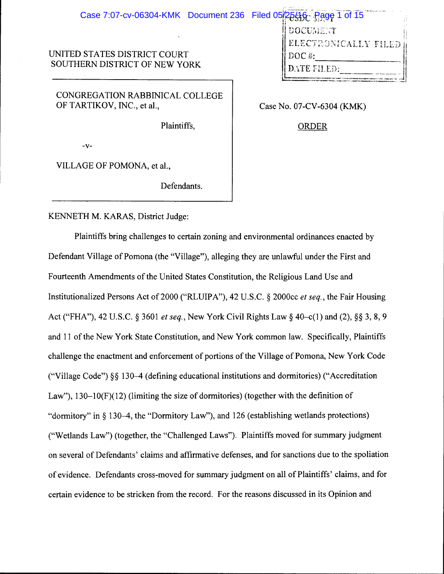| Case 7:07-cv-06304-KMK Document 236 Filed 05/25/16 Page 1 of 15 |                                            |
|-----------------------------------------------------------------|--------------------------------------------|
|                                                                 | <b>DOCUMENT</b><br>ELECTRONICALLY FILED II |
| UNITED STATES DISTRICT COURT<br>SOUTHERN DISTRICT OF NEW YORK   | $DOC$ #:<br>DATE FILED:                    |
| CONGREGATION RABBINICAL COLLEGE<br>OF TARTIKOV, INC., et al.,   | Case No. 07-CV-6304 (KMK)                  |

ORDER

Plaintiffs,

-v-

VILLAGE OF POMONA, et al.,

Defendants.

KENNETH M. KARAS, District Judge:

Plaintiffs bring challenges to certain zoning and environmental ordinances enacted by Defendant Village of Pomona (the "Village"), alleging they are unlawful under the First and Fourteenth Amendments of the United States Constitution, the Religious Land Use and Institutionalized Persons Act of 2000 ("RLUIP A"), 42 U .S.C. § 2000cc *et seq.,* the Fair Housing Act ("FHA"), 42 U.S.C. § 3601 *et seq.,* New York Civil Rights Law§ 40-c(l) and (2), §§ 3, 8, 9 and 11 of the New York State Constitution, and New York common law. Specifically, Plaintiffs challenge the enactment and enforcement of portions of the Village of Pomona, New York Code ("Village Code")§§ 130-4 (defining educational institutions and dormitories) ("Accreditation Law"), 130–10(F)(12) (limiting the size of dormitories) (together with the definition of "dormitory" in§ 130-4, the "Dormitory Law"), and 126 (establishing wetlands protections) ("Wetlands Law") (together, the "Challenged Laws"). Plaintiffs moved for summary judgment on several of Defendants' claims and affirmative defenses, and for sanctions due to the spoliation of evidence. Defendants cross-moved for summary judgment on all of Plaintiffs' claims, and for certain evidence to be stricken from the record. For the reasons discussed in its Opinion and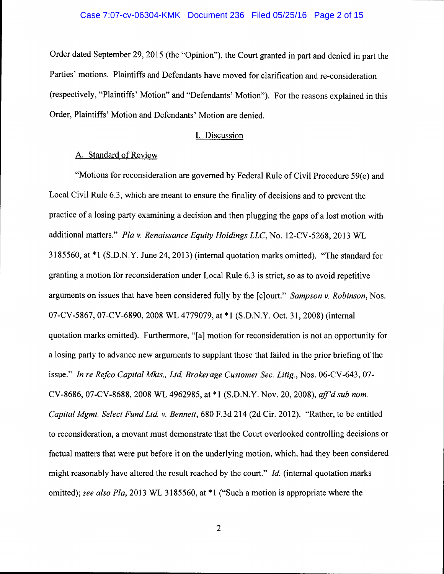Order dated September 29, 2015 (the "Opinion"), the Court granted in part and denied in part the Parties' motions. Plaintiffs and Defendants have moved for clarification and re-consideration (respectively, "Plaintiffs' Motion" and "Defendants' Motion"). For the reasons explained in this Order, Plaintiffs' Motion and Defendants' Motion are denied.

### I. Discussion

## A. Standard of Review

"Motions for reconsideration are governed by Federal Rule of Civil Procedure  $59(e)$  and Local Civil Rule 6.3, which are meant to ensure the finality of decisions and to prevent the practice of a losing party examining a decision and then plugging the gaps of a lost motion with additional matters." *Pta v. Renaissance Equity Holdings LLC,* No. 12-CV-5268, 2013 WL 3185560, at \*1 (S.D.N.Y. June 24, 2013) (internal quotation marks omitted). "The standard for granting a motion for reconsideration under Local Rule 6.3 is strict, so as to avoid repetitive arguments on issues that have been considered fully by the [c]ourt." *Sampson v. Robinson,* Nos. 07-CV-5867, 07-CV-6890, 2008 WL 4779079, at \*1 (S.D.N.Y. Oct. 31, 2008) (internal quotation marks omitted). Furthermore, "[a] motion for reconsideration is not an opportunity for a losing party to advance new arguments to supplant those that failed in the prior briefing of the issue." *In re Refco Capital Mkts., Ltd. Brokerage Customer Sec. Litig.,* Nos. 06-CV-643, 07- CV-8686, 07-CV-8688, 2008 WL 4962985, at \*1 (S.D.N.Y. Nov. 20, 2008), *aff'd sub nom. Capital Mgmt. Select Fund Ltd. v. Bennett,* 680 F.3d 214 (2d Cir. 2012). "Rather, to be entitled to reconsideration, a movant must demonstrate that the Court overlooked controlling decisions or factual matters that were put before it on the underlying motion, which, had they been considered might reasonably have altered the result reached by the court." *!d.* (internal quotation marks omitted); *see also Pla*, 2013 WL 3185560, at \*1 ("Such a motion is appropriate where the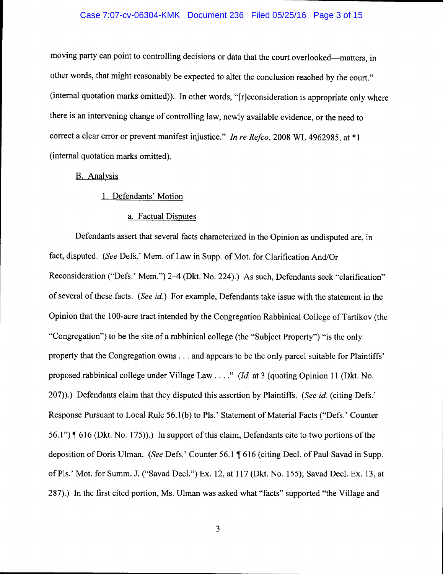#### Case 7:07-cv-06304-KMK Document 236 Filed 05/25/16 Page 3 of 15

moving party can point to controlling decisions or data that the court overlooked-matters, in other words, that might reasonably be expected to alter the conclusion reached by the court." (internal quotation marks omitted)). In other words, "[r]econsideration is appropriate only where there is an intervening change of controlling law, newly available evidence, or the need to correct a clear error or prevent manifest injustice." *In re Refco,* 2008 WL 4962985, at \* 1 (internal quotation marks omitted).

#### B. Analysis

## 1. Defendants' Motion

## a. Factual Disputes

Defendants assert that several facts characterized in the Opinion as undisputed are, in fact, disputed. *(See* Defs.' Mem. of Law in Supp. of Mot. for Clarification And/Or Reconsideration ("Defs.' Mem.") 2-4 (Dkt. No. 224).) As such, Defendants seek "clarification" of several of these facts. *(See id.)* For example, Defendants take issue with the statement in the Opinion that the 100-acre tract intended by the Congregation Rabbinical College of Tartikov (the "Congregation") to be the site of a rabbinical college (the "Subject Property") "is the only property that the Congregation owns ... and appears to be the only parcel suitable for Plaintiffs' proposed rabbinical college under Village Law .... " *(!d.* at 3 (quoting Opinion 11 (Dkt. No. 207) ). ) Defendants claim that they disputed this assertion by Plaintiffs. *(See id.* (citing Defs.' Response Pursuant to Local Rule 56.1 (b) to Pis.' Statement of Material Facts ("Defs.' Counter 56.1")  $\P$  616 (Dkt. No. 175)).) In support of this claim, Defendants cite to two portions of the deposition of Doris Ulman. *(See Defs.*' Counter 56.1 ¶ 616 (citing Decl. of Paul Savad in Supp. of Pis.' Mot. for Summ. J. ("Savad Decl.") Ex. 12, at 117 (Dkt. No. 155); Savad Decl. Ex. 13, at 287).) In the first cited portion, Ms. Ulman was asked what "facts" supported "the Village and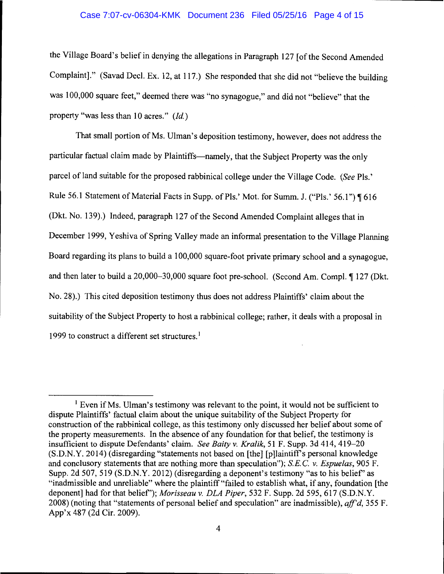#### Case 7:07-cv-06304-KMK Document 236 Filed 05/25/16 Page 4 of 15

the Village Board's belief in denying the allegations in Paragraph 127 [of the Second Amended Complaint]." (Savad Decl. Ex. 12, at 117.) She responded that she did not "believe the building was 100,000 square feet," deemed there was "no synagogue," and did not "believe" that the property "was less than 10 acres." *(Id.)* 

That small portion of Ms. Ulman's deposition testimony, however, does not address the particular factual claim made by Plaintiffs—namely, that the Subject Property was the only parcel of land suitable for the proposed rabbinical college under the Village Code. *(See* Pls.' Rule 56.1 Statement of Material Facts in Supp. of Pls.' Mot. for Summ. J. ("Pls.' 56.1") ¶ 616 (Dkt. No. 139).) Indeed, paragraph 127 of the Second Amended Complaint alleges that in December 1999, Yeshiva of Spring Valley made an informal presentation to the Village Planning Board regarding its plans to build a 100,000 square-foot private primary school and a synagogue, and then later to build a 20,000–30,000 square foot pre-school. (Second Am. Compl. ¶ 127 (Dkt. No. 28).) This cited deposition testimony thus does not address Plaintiffs' claim about the suitability of the Subject Property to host a rabbinical college; rather, it deals with a proposal in 1999 to construct a different set structures.<sup>1</sup>

<sup>&</sup>lt;sup>1</sup> Even if Ms. Ulman's testimony was relevant to the point, it would not be sufficient to dispute Plaintiffs' factual claim about the unique suitability of the Subject Property for construction of the rabbinical college, as this testimony only discussed her belief about some of the property measurements. In the absence of any foundation for that belief, the testimony is insufficient to dispute Defendants' claim. *See Baity v. Kralik*, 51 F. Supp. 3d 414, 419–20  $(S.D.N.Y. 2014)$  (disregarding "statements not based on [the] [p]laintiff's personal knowledge and conclusory statements that are nothing more than speculation"); *S.E.* C. *v. Espuelas,* 905 F. Supp. 2d 507, 519 (S.D.N.Y. 2012) (disregarding a deponent's testimony "as to his belief' as "inadmissible and unreliable" where the plaintiff "failed to establish what, if any, foundation [the deponent] had for that belief'); *Morisseau v. DLA Piper,* 532 F. Supp. 2d 595, 617 (S.D.N.Y. 2008) (noting that "statements of personal belief and speculation" are inadmissible), *aff'd,* 355 F. App'x 487 (2d Cir. 2009).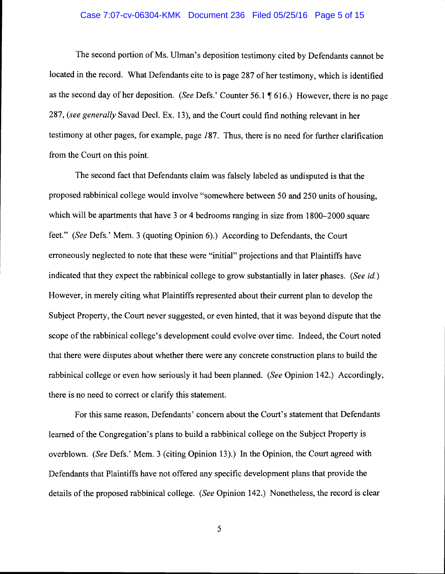#### Case 7:07-cv-06304-KMK Document 236 Filed 05/25/16 Page 5 of 15

The second portion of Ms. Ulman's deposition testimony cited by Defendants cannot be located in the record. What Defendants cite to is page 287 of her testimony, which is identified as the second day of her deposition. *(See Defs.'* Counter 56.1 ¶ 616.) However, there is no page 287, *(see generally* Savad Decl. Ex. 13), and the Court could find nothing relevant in her testimony at other pages, for example, page *187.* Thus, there is no need for further clarification from the Court on this point.

The second fact that Defendants claim was falsely labeled as undisputed is that the proposed rabbinical college would involve "somewhere between 50 and 250 units of housing, which will be apartments that have 3 or 4 bedrooms ranging in size from 1800–2000 square feet." *(See* Defs.' Mem. 3 (quoting Opinion 6).) According to Defendants, the Court erroneously neglected to note that these were "initial" projections and that Plaintiffs have indicated that they expect the rabbinical college to grow substantially in later phases. *(See id.)*  However, in merely citing what Plaintiffs represented about their current plan to develop the Subject Property, the Court never suggested, or even hinted, that it was beyond dispute that the scope of the rabbinical college's development could evolve over time. Indeed, the Court noted that there were disputes about whether there were any concrete construction plans to build the rabbinical college or even how seriously it had been planned. *(See* Opinion 142.) Accordingly, there is no need to correct or clarify this statement.

For this same reason, Defendants' concern about the Court's statement that Defendants learned of the Congregation's plans to build a rabbinical college on the Subject Property is overblown. *(See* Defs.' Mem. 3 (citing Opinion 13).) In the Opinion, the Court agreed with Defendants that Plaintiffs have not offered any specific development plans that provide the details of the proposed rabbinical college. *(See* Opinion 142.) Nonetheless, the record is clear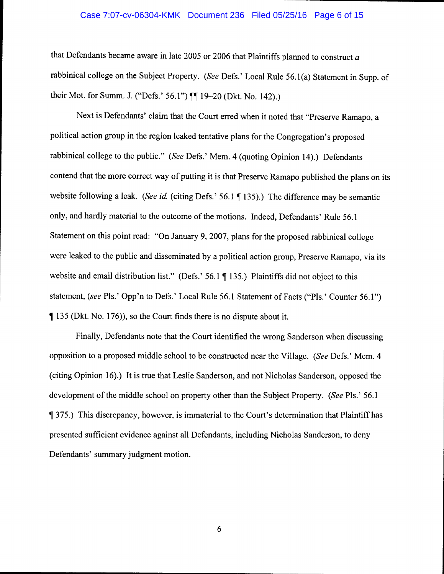#### Case 7:07-cv-06304-KMK Document 236 Filed 05/25/16 Page 6 of 15

that Defendants became aware in late 2005 or 2006 that Plaintiffs planned to construct *a*  rabbinical college on the Subject Property. *(See* Defs.' Local Rule 56.1 (a) Statement in Supp. of their Mot. for Summ. J. ("Defs.' 56.1")  $\P\P$  19-20 (Dkt. No. 142).)

Next is Defendants' claim that the Court erred when it noted that "Preserve Ramapo, a political action group in the region leaked tentative plans for the Congregation's proposed rabbinical college to the public." *(See* Defs.' Mem. 4 (quoting Opinion 14).) Defendants contend that the more correct way of putting it is that Preserve Ramapo published the plans on its website following a leak. *(See id. (citing Defs.' 56.1* | 135).) The difference may be semantic only, and hardly material to the outcome of the motions. Indeed, Defendants' Rule 56.1 Statement on this point read: "On January 9, 2007, plans for the proposed rabbinical college were leaked to the public and disseminated by a political action group, Preserve Ramapo, via its website and email distribution list." (Defs.' 56.1  $\P$  135.) Plaintiffs did not object to this statement, *(see Pls.' Opp'n to Defs.' Local Rule 56.1 Statement of Facts ("Pls.' Counter 56.1")* , 135 (Dkt. No. 176)), so the Court finds there is no dispute about it.

Finally, Defendants note that the Court identified the wrong Sanderson when discussing opposition to a proposed middle school to be constructed near the Village. *(See* Defs.' Mem. 4 (citing Opinion 16).) It is true that Leslie Sanderson, and not Nicholas Sanderson, opposed the development of the middle school on property other than the Subject Property. *(See* Pls.' 56.1 , 375.) This discrepancy, however, is immaterial to the Court's determination that Plaintiff has presented sufficient evidence against all Defendants, including Nicholas Sanderson, to deny Defendants' summary judgment motion.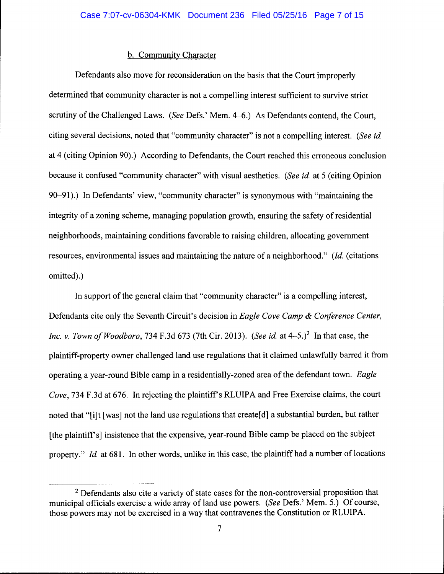# b. Community Character

Defendants also move for reconsideration on the basis that the Court improperly determined that community character is not a compelling interest sufficient to survive strict scrutiny of the Challenged Laws. *(See Defs.' Mem. 4–6.)* As Defendants contend, the Court, citing several decisions, noted that "community character" is not a compelling interest. *(See id*  at 4 (citing Opinion 90).) According to Defendants, the Court reached this erroneous conclusion because it confused "community character" with visual aesthetics. *(See id* at 5 (citing Opinion 90-91).) In Defendants' view, "community character" is synonymous with "maintaining the integrity of a zoning scheme, managing population growth, ensuring the safety of residential neighborhoods, maintaining conditions favorable to raising children, allocating government resources, environmental issues and maintaining the nature of a neighborhood." (Id (citations omitted).)

In support of the general claim that "community character" is a compelling interest, Defendants cite only the Seventh Circuit's decision in *Eagle Cove Camp* & *Conference Center, Inc. v. Town of Woodboro, 734 F.3d 673 (7th Cir. 2013). (See id. at 4-5.)* In that case, the plaintiff-property owner challenged land use regulations that it claimed unlawfully barred it from operating a year-round Bible camp in a residentially-zoned area of the defendant town. *Eagle Cove, 734 F.3d at 676.* In rejecting the plaintiff's RLUIPA and Free Exercise claims, the court noted that "[i]t [was] not the land use regulations that create[d] a substantial burden, but rather [the plaintiff's] insistence that the expensive, year-round Bible camp be placed on the subject property." *Id.* at 681. In other words, unlike in this case, the plaintiff had a number of locations

<sup>&</sup>lt;sup>2</sup> Defendants also cite a variety of state cases for the non-controversial proposition that municipal officials exercise a wide array of land use powers. *(See* Defs.' Mem. 5.) Of course, those powers may not be exercised in a way that contravenes the Constitution or RLUIP A.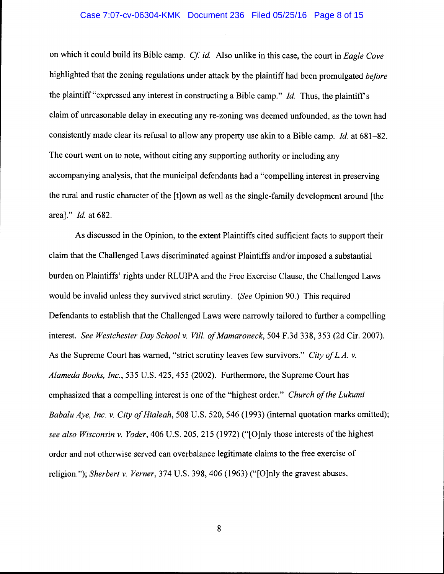#### Case 7:07-cv-06304-KMK Document 236 Filed 05/25/16 Page 8 of 15

on which it could build its Bible camp. *Cf id* Also unlike in this case, the court in *Eagle Cove*  highlighted that the zoning regulations under attack by the plaintiff had been promulgated *before*  the plaintiff "expressed any interest in constructing a Bible camp." *Id.* Thus, the plaintiff's claim of unreasonable delay in executing any re-zoning was deemed unfounded, as the town had consistently made clear its refusal to allow any property use akin to a Bible camp. *Id.* at 681-82. The court went on to note, without citing any supporting authority or including any accompanying analysis, that the municipal defendants had a "compelling interest in preserving the rural and rustic character of the [t]own as well as the single-family development around [the area]." *Id.* at 682.

As discussed in the Opinion, to the extent Plaintiffs cited sufficient facts to support their claim that the Challenged Laws discriminated against Plaintiffs and/or imposed a substantial burden on Plaintiffs' rights under RLUIPA and the Free Exercise Clause, the Challenged Laws would be invalid unless they survived strict scrutiny. *(See* Opinion 90.) This required Defendants to establish that the Challenged Laws were narrowly tailored to further a compelling interest. *See Westchester Day School* v. *Viii. of Mamaroneck,* 504 F.3d 338, 353 (2d Cir. 2007). As the Supreme Court has warned, "strict scrutiny leaves few survivors." *City of L.A.* v. *Alameda Books, Inc.,* 535 U.S. 425, 455 (2002). Furthermore, the Supreme Court has emphasized that a compelling interest is one of the "highest order." *Church of the Lukumi Babalu Aye, Inc.* v. *City of Hialeah,* 508 U.S. 520, 546 (1993) (internal quotation marks omitted); *see also Wisconsin* v. *Yoder,* 406 U.S. 205,215 (1972) ("[O]nly those interests ofthe highest order and not otherwise served can overbalance legitimate claims to the free exercise of religion."); *Sherbert* v. *Verner,* 374 U.S. 398, 406 (1963) ("[O]nly the gravest abuses,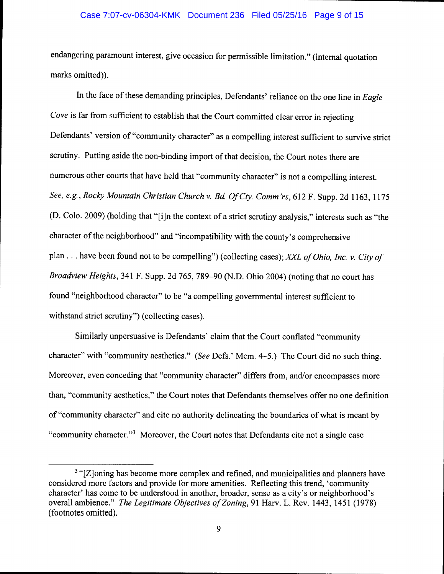### Case 7:07-cv-06304-KMK Document 236 Filed 05/25/16 Page 9 of 15

endangering paramount interest, give occasion for permissible limitation." (internal quotation marks omitted)).

In the face of these demanding principles, Defendants' reliance on the one line in *Eagle Cove* is far from sufficient to establish that the Court committed clear error in rejecting Defendants' version of "community character" as a compelling interest sufficient to survive strict scrutiny. Putting aside the non-binding import of that decision, the Court notes there are numerous other courts that have held that "community character" is not a compelling interest. *See, e.g., Rocky Mountain Christian Church v. Bd OfCty. Comm 'rs,* 612 F. Supp. 2d 1163, 1175 (D. Colo. 2009) (holding that "[i]n the context of a strict scrutiny analysis," interests such as "the character of the neighborhood" and "incompatibility with the county's comprehensive plan ... have been found not to be compelling") (collecting cases); *XXL of Ohio, Inc. v. City of Broadview Heights,* 341 F. Supp. 2d 765, 789-90 (N.D. Ohio 2004) (noting that no court has found "neighborhood character" to be "a compelling governmental interest sufficient to withstand strict scrutiny") (collecting cases).

Similarly unpersuasive is Defendants' claim that the Court conflated "community character" with "community aesthetics." *(See* Defs.' Mem. 4-5.) The Court did no such thing. Moreover, even conceding that "community character" differs from, and/or encompasses more than, "community aesthetics," the Court notes that Defendants themselves offer no one definition of "community character" and cite no authority delineating the boundaries of what is meant by "community character."<sup>3</sup> Moreover, the Court notes that Defendants cite not a single case

<sup>&</sup>lt;sup>3</sup> "[Z]oning has become more complex and refined, and municipalities and planners have considered more factors and provide for more amenities. Reflecting this trend, 'community character' has come to be understood in another, broader, sense as a city's or neighborhood's overall ambience." *The Legitimate Objectives of Zoning*, 91 Harv. L. Rev. 1443, 1451 (1978) (footnotes omitted).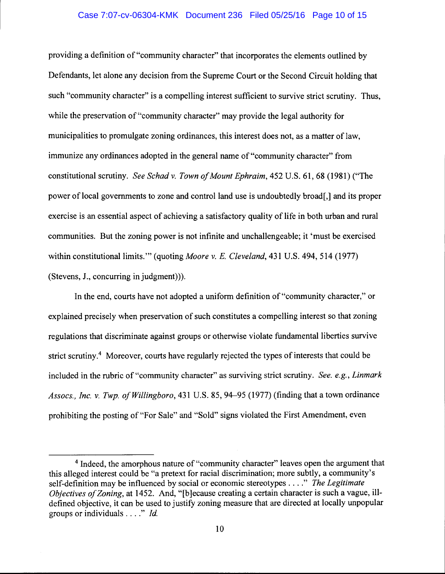#### Case 7:07-cv-06304-KMK Document 236 Filed 05/25/16 Page 10 of 15

providing a definition of "community character" that incorporates the elements outlined by Defendants, let alone any decision from the Supreme Court or the Second Circuit holding that such "community character" is a compelling interest sufficient to survive strict scrutiny. Thus, while the preservation of "community character" may provide the legal authority for municipalities to promulgate zoning ordinances, this interest does not, as a matter of law, immunize any ordinances adopted in the general name of "community character" from constitutional scrutiny. *See Schadv. Town of Mount Ephraim,* 452 U.S. 61,68 (1981) ("The power of local governments to zone and control land use is undoubtedly broad[,] and its proper exercise is an essential aspect of achieving a satisfactory quality of life in both urban and rural communities. But the zoning power is not infinite and unchallengeable; it 'must be exercised within constitutional limits."' (quoting *Moore v. E. Cleveland,* 431 U.S. 494, 514 (1977) (Stevens, J., concurring in judgment))).

In the end, courts have not adopted a uniform definition of"community character," or explained precisely when preservation of such constitutes a compelling interest so that zoning regulations that discriminate against groups or otherwise violate fundamental liberties survive strict scrutiny.<sup>4</sup> Moreover, courts have regularly rejected the types of interests that could be included in the rubric of"community character" as surviving strict scrutiny. *See. e.g., Linmark Assocs., Inc. v. Twp. ofWillingboro,* 431 U.S. 85,94-95 (1977) (finding that a town ordinance prohibiting the posting of "For Sale" and "Sold" signs violated the First Amendment, even

<sup>4</sup> Indeed, the amorphous nature of "community character" leaves open the argument that this alleged interest could be "a pretext for racial discrimination; more subtly, a community's self-definition may be influenced by social or economic stereotypes .... " *The Legitimate Objectives of Zoning, at 1452. And, "[b]ecause creating a certain character is such a vague, ill*defined objective, it can be used to justify zoning measure that are directed at locally unpopular groups or individuals .... " *!d.*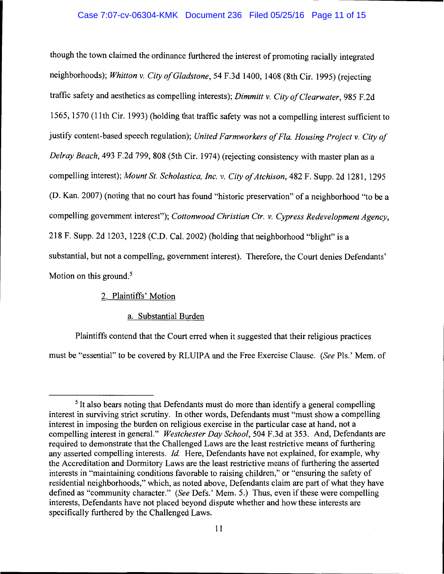## Case 7:07-cv-06304-KMK Document 236 Filed 05/25/16 Page 11 of 15

though the town claimed the ordinance furthered the interest of promoting racially integrated neighborhoods); *Whitton* v. *City of Gladstone,* 54 F.3d I400, I408 (8th Cir. I995) (rejecting traffic safety and aesthetics as compelling interests); *Dimmitt* v. *City of Clearwater,* 985 F.2d I565, I570 (II th Cir. I993) (holding that traffic safety was not a compelling interest sufficient to justify content-based speech regulation); *United Farmworkers of Fla. Housing Project* v. *City of Delray Beach,* 493 F.2d 799, 808 (5th Cir. I974) (rejecting consistency with master plan as a compelling interest); *Mount St. Scholastica, Inc. v. City of Atchison,* 482 F. Supp. 2d I28I, I295 (D. Kan. 2007) (noting that no court has found "historic preservation" of a neighborhood "to be a compelling government interest"); *Cottonwood Christian Ctr.* v. *Cypress Redevelopment Agency,*  2I8 F. Supp. 2d I203, I228 (C.D. Cal. 2002) (holding that neighborhood "blight" is a substantial, but not a compelling, government interest). Therefore, the Court denies Defendants' Motion on this ground. *<sup>5</sup>*

## 2. Plaintiffs' Motion

## a. Substantial Burden

Plaintiffs contend that the Court erred when it suggested that their religious practices must be "essential" to be covered by RLUIP A and the Free Exercise Clause. *(See* Pis.' Mem. of

<sup>&</sup>lt;sup>5</sup>It also bears noting that Defendants must do more than identify a general compelling interest in surviving strict scrutiny. In other words, Defendants must "must show a compelling interest in imposing the burden on religious exercise in the particular case at hand, not a compelling interest in general." *Westchester Day School,* 504 F.3d at 353. And, Defendants are required to demonstrate that the Challenged Laws are the least restrictive means of furthering any asserted compelling interests. *!d.* Here, Defendants have not explained, for example, why the Accreditation and Dormitory Laws are the least restrictive means of furthering the asserted interests in "maintaining conditions favorable to raising children," or "ensuring the safety of residential neighborhoods," which, as noted above, Defendants claim are part of what they have defined as "community character." *(See Defs.*' Mem. 5.) Thus, even if these were compelling interests, Defendants have not placed beyond dispute whether and how these interests are specifically furthered by the Challenged Laws.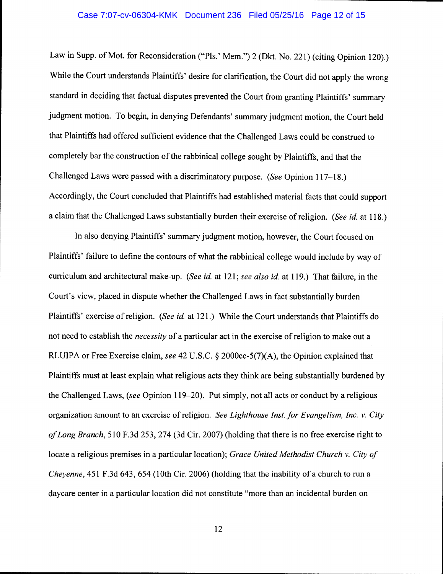Law in Supp. of Mot. for Reconsideration ("Pls.' Mem.") 2 (Dkt. No. 221) (citing Opinion 120).) While the Court understands Plaintiffs' desire for clarification, the Court did not apply the wrong standard in deciding that factual disputes prevented the Court from granting Plaintiffs' summary judgment motion. To begin, in denying Defendants' summary judgment motion, the Court held that Plaintiffs had offered sufficient evidence that the Challenged Laws could be construed to completely bar the construction of the rabbinical college sought by Plaintiffs, and that the Challenged Laws were passed with a discriminatory purpose. *(See* Opinion 117-18.) Accordingly, the Court concluded that Plaintiffs had established material facts that could support a claim that the Challenged Laws substantially burden their exercise of religion. *(See id.* at 118.)

In also denying Plaintiffs' summary judgment motion, however, the Court focused on Plaintiffs' failure to define the contours of what the rabbinical college would include by way of curriculum and architectural make-up. *(See id.* at 121; *see also id.* at 119.) That failure, in the Court's view, placed in dispute whether the Challenged Laws in fact substantially burden Plaintiffs' exercise of religion. *(See id.* at 121.) While the Court understands that Plaintiffs do not need to establish the *necessity* of a particular act in the exercise of religion to make out a RLUIPA or Free Exercise claim, *see* 42 U.S.C. § 2000cc-5(7)(A), the Opinion explained that Plaintiffs must at least explain what religious acts they think are being substantially burdened by the Challenged Laws, *(see* Opinion 119-20). Put simply, not all acts or conduct by a religious organization amount to an exercise of religion. *See Lighthouse Inst. for Evangelism, Inc. v. City of Long Branch,* 510 F.3d 253, 274 (3d Cir. 2007) (holding that there is no free exercise right to locate a religious premises in a particular location); *Grace United Methodist Church v. City of Cheyenne*, 451 F.3d 643, 654 (10th Cir. 2006) (holding that the inability of a church to run a daycare center in a particular location did not constitute "more than an incidental burden on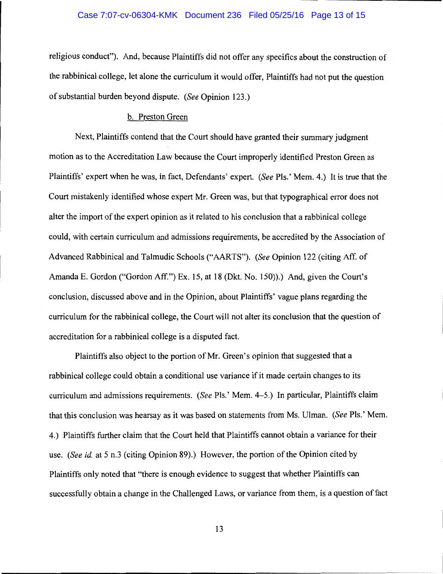#### Case 7:07-cv-06304-KMK Document 236 Filed 05/25/16 Page 13 of 15

religious conduct"). And, because Plaintiffs did not offer any specifics about the construction of the rabbinical college, let alone the curriculum it would offer, Plaintiffs had not put the question of substantial burden beyond dispute. *(See* Opinion 123.)

#### b. Preston Green

Next, Plaintiffs contend that the Court should have granted their summary judgment motion as to the Accreditation Law because the Court improperly identified Preston Green as Plaintiffs' expert when he was, in fact, Defendants' expert. *(See* Pis.' Mem. 4.) It is true that the Court mistakenly identified whose expert Mr. Green was, but that typographical error does not alter the import of the expert opinion as it related to his conclusion that a rabbinical college could, with certain curriculum and admissions requirements, be accredited by the Association of Advanced Rabbinical and Talmudic Schools ("AARTS"). *(See* Opinion 122 (citing Aff. of Amanda E. Gordon ("Gordon Aff.") Ex. 15, at 18 (Dkt. No. 150)).) And, given the Court's conclusion, discussed above and in the Opinion, about Plaintiffs' vague plans regarding the curriculum for the rabbinical college, the Court will not alter its conclusion that the question of accreditation for a rabbinical college is a disputed fact.

Plaintiffs also object to the portion of Mr. Green's opinion that suggested that a rabbinical college could obtain a conditional use variance if it made certain changes to its curriculum and admissions requirements. *(See* Pis.' Mem. 4-5.) In particular, Plaintiffs claim that this conclusion was hearsay as it was based on statements from Ms. Ulman. *(See* Pis.' Mem. 4.) Plaintiffs further claim that the Court held that Plaintiffs cannot obtain a variance for their use. *(See id.* at 5 n.3 (citing Opinion 89).) However, the portion of the Opinion cited by Plaintiffs only noted that "there is enough evidence to suggest that whether Plaintiffs can successfully obtain a change in the Challenged Laws, or variance from them, is a question of fact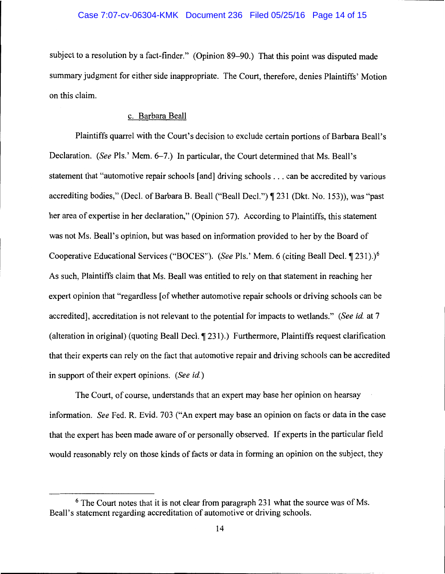#### Case 7:07-cv-06304-KMK Document 236 Filed 05/25/16 Page 14 of 15

subject to a resolution by a fact-finder." (Opinion 89–90.) That this point was disputed made summary judgment for either side inappropriate. The Court, therefore, denies Plaintiffs' Motion on this claim.

## c. Barbara Beall

Plaintiffs quarrel with the Court's decision to exclude certain portions of Barbara Beall's Declaration. *(See Pls.' Mem. 6–7.)* In particular, the Court determined that Ms. Beall's statement that "automotive repair schools [and] driving schools ... can be accredited by various accrediting bodies," (Decl. of Barbara B. Beall ("Beall Decl.") ¶ 231 (Dkt. No. 153)), was "past her area of expertise in her declaration," (Opinion 57). According to Plaintiffs, this statement was not Ms. Beall's opinion, but was based on information provided to her by the Board of Cooperative Educational Services ("BOCES"). *(See Pls.'* Mem. 6 (citing Beall Decl. ¶ 231).)<sup>6</sup> As such, Plaintiffs claim that Ms. Beall was entitled to rely on that statement in reaching her expert opinion that "regardless [of whether automotive repair schools or driving schools can be accredited], accreditation is not relevant to the potential for impacts to wetlands." *(See id.* at 7 (alteration in original) (quoting Beall Decl.  $\P$  231).) Furthermore, Plaintiffs request clarification that their experts can rely on the fact that automotive repair and driving schools can be accredited in support of their expert opinions. *(See id.)* 

The Court, of course, understands that an expert may base her opinion on hearsay information. *See* Fed. R. Evid. 703 ("An expert may base an opinion on facts or data in the case that the expert has been made aware of or personally observed. If experts in the particular field would reasonably rely on those kinds of facts or data in forming an opinion on the subject, they

<sup>&</sup>lt;sup>6</sup> The Court notes that it is not clear from paragraph 231 what the source was of Ms. Beall's statement regarding accreditation of automotive or driving schools.